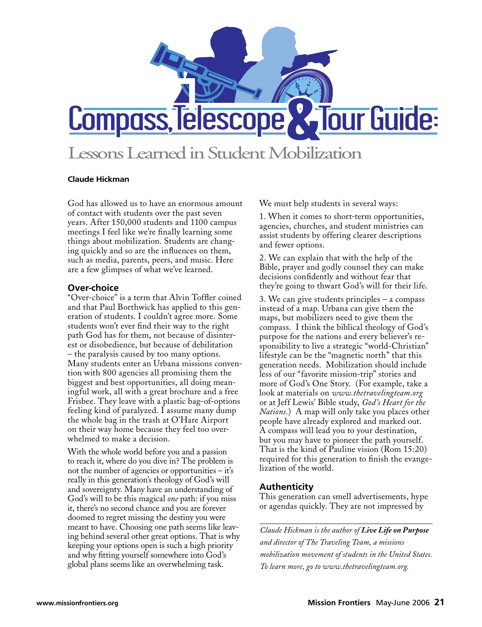

# Lessons Learned in Student Mobilization

#### **Claude Hickman**

God has allowed us to have an enormous amount of contact with students over the past seven years. After 150,000 students and 1100 campus meetings I feel like we're finally learning some things about mobilization. Students are changing quickly and so are the influences on them, such as media, parents, peers, and music. Here are a few glimpses of what we've learned.

### **Over-choice**

"Over-choice" is a term that Alvin Toffler coined and that Paul Borthwick has applied to this generation of students. I couldn't agree more. Some students won't ever find their way to the right path God has for them, not because of disinterest or disobedience, but because of debilitation – the paralysis caused by too many options. Many students enter an Urbana missions convention with 800 agencies all promising them the biggest and best opportunities, all doing meaningful work, all with a great brochure and a free Frisbee. They leave with a plastic bag-of-options feeling kind of paralyzed. I assume many dump the whole bag in the trash at O'Hare Airport on their way home because they feel too overwhelmed to make a decision.

With the whole world before you and a passion to reach it, where do you dive in? The problem is not the number of agencies or opportunities – it's really in this generation's theology of God's will and sovereignty. Many have an understanding of God's will to be this magical *one* path: if you miss it, there's no second chance and you are forever doomed to regret missing the destiny you were meant to have. Choosing one path seems like leaving behind several other great options. That is why keeping your options open is such a high priority and why fitting yourself somewhere into God's global plans seems like an overwhelming task.

We must help students in several ways:

1. When it comes to short-term opportunities, agencies, churches, and student ministries can assist students by offering clearer descriptions and fewer options.

2. We can explain that with the help of the Bible, prayer and godly counsel they can make decisions confidently and without fear that they're going to thwart God's will for their life.

3. We can give students principles – a compass instead of a map. Urbana can give them the maps, but mobilizers need to give them the compass. I think the biblical theology of God's purpose for the nations and every believer's responsibility to live a strategic "world-Christian" lifestyle can be the "magnetic north" that this generation needs. Mobilization should include less of our "favorite mission-trip" stories and more of God's One Story. (For example, take a look at materials on *www.thetravelingteam.org* or at Jeff Lewis' Bible study, *God's Heart for the Nations.*) A map will only take you places other people have already explored and marked out. A compass will lead you to your destination, but you may have to pioneer the path yourself. That is the kind of Pauline vision (Rom 15:20) required for this generation to finish the evangelization of the world.

## **Authenticity**

This generation can smell advertisements, hype or agendas quickly. They are not impressed by

*Claude Hickman is the author of Live Life on Purpose and director of The Traveling Team, a missions mobilization movement of students in the United States. To learn more, go to www.thetravelingteam.org.*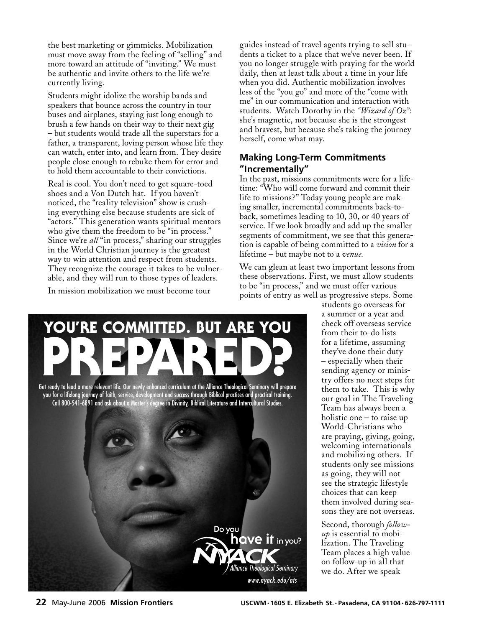the best marketing or gimmicks. Mobilization must move away from the feeling of "selling" and more toward an attitude of "inviting." We must be authentic and invite others to the life we're currently living.

Students might idolize the worship bands and speakers that bounce across the country in tour buses and airplanes, staying just long enough to brush a few hands on their way to their next gig – but students would trade all the superstars for a father, a transparent, loving person whose life they can watch, enter into, and learn from. They desire people close enough to rebuke them for error and to hold them accountable to their convictions.

Real is cool. You don't need to get square-toed shoes and a Von Dutch hat. If you haven't noticed, the "reality television" show is crushing everything else because students are sick of "actors." This generation wants spiritual mentors who give them the freedom to be "in process." Since we're *all* "in process," sharing our struggles in the World Christian journey is the greatest way to win attention and respect from students. They recognize the courage it takes to be vulnerable, and they will run to those types of leaders.

In mission mobilization we must become tour

guides instead of travel agents trying to sell students a ticket to a place that we've never been. If you no longer struggle with praying for the world daily, then at least talk about a time in your life when you did. Authentic mobilization involves less of the "you go" and more of the "come with me" in our communication and interaction with students. Watch Dorothy in the *"Wizard of Oz"*: she's magnetic, not because she is the strongest and bravest, but because she's taking the journey herself, come what may.

## **Making Long-Term Commitments "Incrementally"**

In the past, missions commitments were for a lifetime: "Who will come forward and commit their life to missions?" Today young people are making smaller, incremental commitments back-toback, sometimes leading to 10, 30, or 40 years of service. If we look broadly and add up the smaller segments of commitment, we see that this generation is capable of being committed to a *vision* for a lifetime – but maybe not to a *venue.*

We can glean at least two important lessons from these observations. First, we must allow students to be "in process," and we must offer various points of entry as well as progressive steps. Some

students go overseas for a summer or a year and check off overseas service from their to-do lists for a lifetime, assuming they've done their duty – especially when their sending agency or ministry offers no next steps for them to take. This is why our goal in The Traveling Team has always been a holistic one – to raise up World-Christians who are praying, giving, going, welcoming internationals and mobilizing others. If students only see missions as going, they will not see the strategic lifestyle choices that can keep them involved during seasons they are not overseas.

Second, thorough *followup* is essential to mobilization. The Traveling Team places a high value on follow-up in all that we do. After we speak



PREPARED?<br>Get ready to lead a more relevant life. Our newly enhanced curriculum at the Alliance Theological Seminary will prepare

YOU'RE COMMITTED. BUT ARE YOU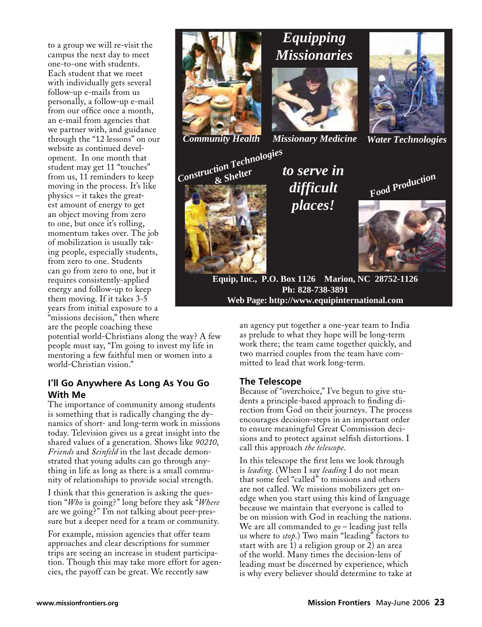to a group we will re-visit the campus the next day to meet one-to-one with students. Each student that we meet with individually gets several follow-up e-mails from us personally, a follow-up e-mail from our office once a month, an e-mail from agencies that we partner with, and guidance through the "12 lessons" on our website as continued development. In one month that student may get 11 "touches" from us, 11 reminders to keep moving in the process. It's like physics – it takes the greatest amount of energy to get an object moving from zero to one, but once it's rolling, momentum takes over. The job of mobilization is usually taking people, especially students, from zero to one. Students can go from zero to one, but it requires consistently-applied energy and follow-up to keep them moving. If it takes 3-5 years from initial exposure to a "missions decision," then where are the people coaching these







*Community Health Missionary Medicine Water Technologies*





*difficult places! Food Production*

**Equip, Inc., P.O. Box 1126 Marion, NC 28752-1126 Ph: 828-738-3891 Web Page: http://www.equipinternational.com**

potential world-Christians along the way? A few people must say, "I'm going to invest my life in mentoring a few faithful men or women into a world-Christian vision."

## **I'll Go Anywhere As Long As You Go With Me**

The importance of community among students is something that is radically changing the dynamics of short- and long-term work in missions today. Television gives us a great insight into the shared values of a generation. Shows like *90210*, *Friends* and *Seinfeld* in the last decade demonstrated that young adults can go through anything in life as long as there is a small community of relationships to provide social strength.

I think that this generation is asking the question "*Who* is going?" long before they ask "*Where* are we going?" I'm not talking about peer-pressure but a deeper need for a team or community.

For example, mission agencies that offer team approaches and clear descriptions for summer trips are seeing an increase in student participation. Though this may take more effort for agencies, the payoff can be great. We recently saw

an agency put together a one-year team to India as prelude to what they hope will be long-term work there; the team came together quickly, and two married couples from the team have committed to lead that work long-term.

## **The Telescope**

Because of "overchoice," I've begun to give students a principle-based approach to finding direction from God on their journeys. The process encourages decision-steps in an important order to ensure meaningful Great Commission decisions and to protect against selfish distortions. I call this approach *the telescope*.

In this telescope the first lens we look through is *leading*. (When I say *leading* I do not mean that some feel "called" to missions and others are not called. We missions mobilizers get onedge when you start using this kind of language because we maintain that everyone is called to be on mission with God in reaching the nations. We are all commanded to *go* – leading just tells us where to *stop*.) Two main "leading" factors to start with are 1) a religion group or 2) an area of the world. Many times the decision-lens of leading must be discerned by experience, which is why every believer should determine to take at